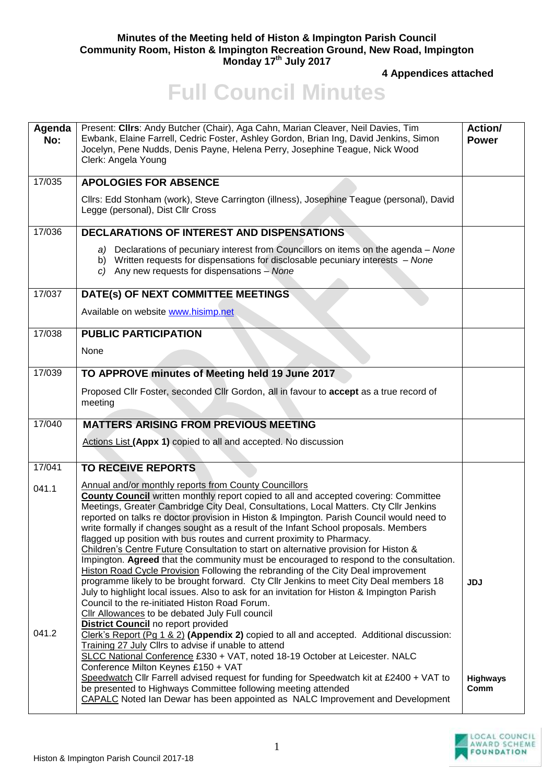## **Minutes of the Meeting held of Histon & Impington Parish Council Community Room, Histon & Impington Recreation Ground, New Road, Impington Monday 17th July 2017**

**4 Appendices attached** 

## **Full Council Minutes**

| Agenda<br>No:  | Present: Clirs: Andy Butcher (Chair), Aga Cahn, Marian Cleaver, Neil Davies, Tim<br>Ewbank, Elaine Farrell, Cedric Foster, Ashley Gordon, Brian Ing, David Jenkins, Simon<br>Jocelyn, Pene Nudds, Denis Payne, Helena Perry, Josephine Teague, Nick Wood<br>Clerk: Angela Young                                                                                                                                                                                                                                                                                                                                                                                                                                                                                                                                                                                                                                                                                                                                                                                                                                                                                                                                                     | Action/<br><b>Power</b> |
|----------------|-------------------------------------------------------------------------------------------------------------------------------------------------------------------------------------------------------------------------------------------------------------------------------------------------------------------------------------------------------------------------------------------------------------------------------------------------------------------------------------------------------------------------------------------------------------------------------------------------------------------------------------------------------------------------------------------------------------------------------------------------------------------------------------------------------------------------------------------------------------------------------------------------------------------------------------------------------------------------------------------------------------------------------------------------------------------------------------------------------------------------------------------------------------------------------------------------------------------------------------|-------------------------|
| 17/035         | <b>APOLOGIES FOR ABSENCE</b>                                                                                                                                                                                                                                                                                                                                                                                                                                                                                                                                                                                                                                                                                                                                                                                                                                                                                                                                                                                                                                                                                                                                                                                                        |                         |
|                | Cllrs: Edd Stonham (work), Steve Carrington (illness), Josephine Teague (personal), David<br>Legge (personal), Dist Cllr Cross                                                                                                                                                                                                                                                                                                                                                                                                                                                                                                                                                                                                                                                                                                                                                                                                                                                                                                                                                                                                                                                                                                      |                         |
| 17/036         | <b>DECLARATIONS OF INTEREST AND DISPENSATIONS</b>                                                                                                                                                                                                                                                                                                                                                                                                                                                                                                                                                                                                                                                                                                                                                                                                                                                                                                                                                                                                                                                                                                                                                                                   |                         |
|                | a) Declarations of pecuniary interest from Councillors on items on the agenda - None<br>b) Written requests for dispensations for disclosable pecuniary interests - None<br>c) Any new requests for dispensations $-$ None                                                                                                                                                                                                                                                                                                                                                                                                                                                                                                                                                                                                                                                                                                                                                                                                                                                                                                                                                                                                          |                         |
| 17/037         | DATE(s) OF NEXT COMMITTEE MEETINGS                                                                                                                                                                                                                                                                                                                                                                                                                                                                                                                                                                                                                                                                                                                                                                                                                                                                                                                                                                                                                                                                                                                                                                                                  |                         |
|                | Available on website www.hisimp.net                                                                                                                                                                                                                                                                                                                                                                                                                                                                                                                                                                                                                                                                                                                                                                                                                                                                                                                                                                                                                                                                                                                                                                                                 |                         |
| 17/038         | <b>PUBLIC PARTICIPATION</b>                                                                                                                                                                                                                                                                                                                                                                                                                                                                                                                                                                                                                                                                                                                                                                                                                                                                                                                                                                                                                                                                                                                                                                                                         |                         |
|                | None                                                                                                                                                                                                                                                                                                                                                                                                                                                                                                                                                                                                                                                                                                                                                                                                                                                                                                                                                                                                                                                                                                                                                                                                                                |                         |
| 17/039         | TO APPROVE minutes of Meeting held 19 June 2017                                                                                                                                                                                                                                                                                                                                                                                                                                                                                                                                                                                                                                                                                                                                                                                                                                                                                                                                                                                                                                                                                                                                                                                     |                         |
|                | Proposed Cllr Foster, seconded Cllr Gordon, all in favour to accept as a true record of<br>meeting                                                                                                                                                                                                                                                                                                                                                                                                                                                                                                                                                                                                                                                                                                                                                                                                                                                                                                                                                                                                                                                                                                                                  |                         |
| 17/040         | <b>MATTERS ARISING FROM PREVIOUS MEETING</b>                                                                                                                                                                                                                                                                                                                                                                                                                                                                                                                                                                                                                                                                                                                                                                                                                                                                                                                                                                                                                                                                                                                                                                                        |                         |
|                | Actions List (Appx 1) copied to all and accepted. No discussion                                                                                                                                                                                                                                                                                                                                                                                                                                                                                                                                                                                                                                                                                                                                                                                                                                                                                                                                                                                                                                                                                                                                                                     |                         |
| 17/041         | <b>TO RECEIVE REPORTS</b>                                                                                                                                                                                                                                                                                                                                                                                                                                                                                                                                                                                                                                                                                                                                                                                                                                                                                                                                                                                                                                                                                                                                                                                                           |                         |
| 041.1<br>041.2 | Annual and/or monthly reports from County Councillors<br><b>County Council</b> written monthly report copied to all and accepted covering: Committee<br>Meetings, Greater Cambridge City Deal, Consultations, Local Matters. Cty Cllr Jenkins<br>reported on talks re doctor provision in Histon & Impington. Parish Council would need to<br>write formally if changes sought as a result of the Infant School proposals. Members<br>flagged up position with bus routes and current proximity to Pharmacy.<br>Children's Centre Future Consultation to start on alternative provision for Histon &<br>Impington. Agreed that the community must be encouraged to respond to the consultation.<br><b>Histon Road Cycle Provision Following the rebranding of the City Deal improvement</b><br>programme likely to be brought forward. Cty Cllr Jenkins to meet City Deal members 18<br>July to highlight local issues. Also to ask for an invitation for Histon & Impington Parish<br>Council to the re-initiated Histon Road Forum.<br>Cllr Allowances to be debated July Full council<br><b>District Council</b> no report provided<br>Clerk's Report (Pg 1 & 2) (Appendix 2) copied to all and accepted. Additional discussion: | <b>JDJ</b>              |
|                | Training 27 July Cllrs to advise if unable to attend<br>SLCC National Conference £330 + VAT, noted 18-19 October at Leicester. NALC<br>Conference Milton Keynes £150 + VAT<br>Speedwatch Cllr Farrell advised request for funding for Speedwatch kit at £2400 + VAT to<br>be presented to Highways Committee following meeting attended<br>CAPALC Noted Ian Dewar has been appointed as NALC Improvement and Development                                                                                                                                                                                                                                                                                                                                                                                                                                                                                                                                                                                                                                                                                                                                                                                                            | <b>Highways</b><br>Comm |

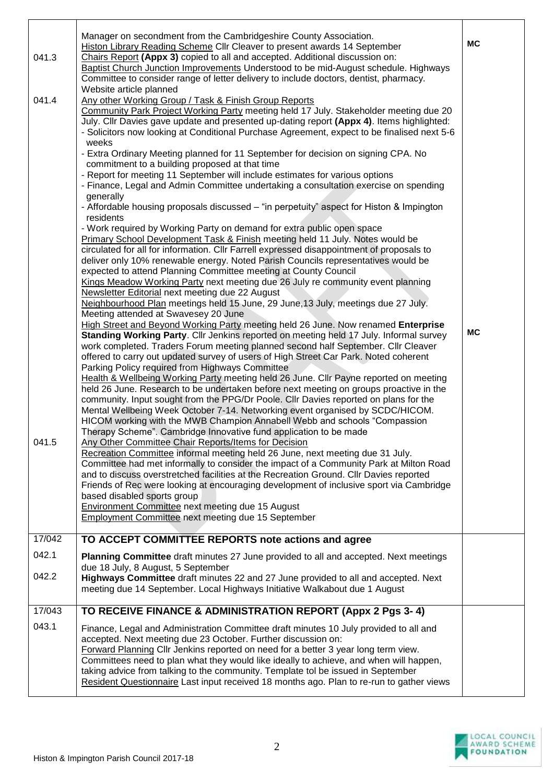|        | Manager on secondment from the Cambridgeshire County Association.<br><b>Histon Library Reading Scheme Cllr Cleaver to present awards 14 September</b>                                                                                                                                                                                                                                                                                                                                                                                                         | <b>MC</b> |
|--------|---------------------------------------------------------------------------------------------------------------------------------------------------------------------------------------------------------------------------------------------------------------------------------------------------------------------------------------------------------------------------------------------------------------------------------------------------------------------------------------------------------------------------------------------------------------|-----------|
| 041.3  | Chairs Report (Appx 3) copied to all and accepted. Additional discussion on:<br>Baptist Church Junction Improvements Understood to be mid-August schedule. Highways<br>Committee to consider range of letter delivery to include doctors, dentist, pharmacy.                                                                                                                                                                                                                                                                                                  |           |
| 041.4  | Website article planned<br>Any other Working Group / Task & Finish Group Reports<br>Community Park Project Working Party meeting held 17 July. Stakeholder meeting due 20<br>July. Cllr Davies gave update and presented up-dating report (Appx 4). Items highlighted:<br>- Solicitors now looking at Conditional Purchase Agreement, expect to be finalised next 5-6                                                                                                                                                                                         |           |
|        | weeks<br>- Extra Ordinary Meeting planned for 11 September for decision on signing CPA. No<br>commitment to a building proposed at that time                                                                                                                                                                                                                                                                                                                                                                                                                  |           |
|        | - Report for meeting 11 September will include estimates for various options<br>- Finance, Legal and Admin Committee undertaking a consultation exercise on spending                                                                                                                                                                                                                                                                                                                                                                                          |           |
|        | generally<br>- Affordable housing proposals discussed - "in perpetuity" aspect for Histon & Impington<br>residents                                                                                                                                                                                                                                                                                                                                                                                                                                            |           |
|        | - Work required by Working Party on demand for extra public open space<br>Primary School Development Task & Finish meeting held 11 July. Notes would be<br>circulated for all for information. Cllr Farrell expressed disappointment of proposals to<br>deliver only 10% renewable energy. Noted Parish Councils representatives would be<br>expected to attend Planning Committee meeting at County Council                                                                                                                                                  |           |
|        | Kings Meadow Working Party next meeting due 26 July re community event planning<br>Newsletter Editorial next meeting due 22 August<br>Neighbourhood Plan meetings held 15 June, 29 June, 13 July, meetings due 27 July.                                                                                                                                                                                                                                                                                                                                       |           |
|        | Meeting attended at Swavesey 20 June<br>High Street and Beyond Working Party meeting held 26 June. Now renamed Enterprise                                                                                                                                                                                                                                                                                                                                                                                                                                     |           |
|        | Standing Working Party. Cllr Jenkins reported on meeting held 17 July. Informal survey<br>work completed. Traders Forum meeting planned second half September. Cllr Cleaver<br>offered to carry out updated survey of users of High Street Car Park. Noted coherent                                                                                                                                                                                                                                                                                           | <b>MC</b> |
|        | Parking Policy required from Highways Committee<br>Health & Wellbeing Working Party meeting held 26 June. Cllr Payne reported on meeting<br>held 26 June. Research to be undertaken before next meeting on groups proactive in the<br>community. Input sought from the PPG/Dr Poole. Cllr Davies reported on plans for the<br>Mental Wellbeing Week October 7-14. Networking event organised by SCDC/HICOM.<br>HICOM working with the MWB Champion Annabell Webb and schools "Compassion<br>Therapy Scheme". Cambridge Innovative fund application to be made |           |
| 041.5  | Any Other Committee Chair Reports/Items for Decision<br>Recreation Committee informal meeting held 26 June, next meeting due 31 July.<br>Committee had met informally to consider the impact of a Community Park at Milton Road<br>and to discuss overstretched facilities at the Recreation Ground. Cllr Davies reported<br>Friends of Rec were looking at encouraging development of inclusive sport via Cambridge<br>based disabled sports group<br>Environment Committee next meeting due 15 August                                                       |           |
|        | Employment Committee next meeting due 15 September                                                                                                                                                                                                                                                                                                                                                                                                                                                                                                            |           |
| 17/042 | TO ACCEPT COMMITTEE REPORTS note actions and agree                                                                                                                                                                                                                                                                                                                                                                                                                                                                                                            |           |
| 042.1  | Planning Committee draft minutes 27 June provided to all and accepted. Next meetings<br>due 18 July, 8 August, 5 September                                                                                                                                                                                                                                                                                                                                                                                                                                    |           |
| 042.2  | Highways Committee draft minutes 22 and 27 June provided to all and accepted. Next<br>meeting due 14 September. Local Highways Initiative Walkabout due 1 August                                                                                                                                                                                                                                                                                                                                                                                              |           |
| 17/043 | TO RECEIVE FINANCE & ADMINISTRATION REPORT (Appx 2 Pgs 3-4)                                                                                                                                                                                                                                                                                                                                                                                                                                                                                                   |           |
| 043.1  | Finance, Legal and Administration Committee draft minutes 10 July provided to all and<br>accepted. Next meeting due 23 October. Further discussion on:<br>Forward Planning Cllr Jenkins reported on need for a better 3 year long term view.<br>Committees need to plan what they would like ideally to achieve, and when will happen,<br>taking advice from talking to the community. Template tol be issued in September                                                                                                                                    |           |
|        | Resident Questionnaire Last input received 18 months ago. Plan to re-run to gather views                                                                                                                                                                                                                                                                                                                                                                                                                                                                      |           |